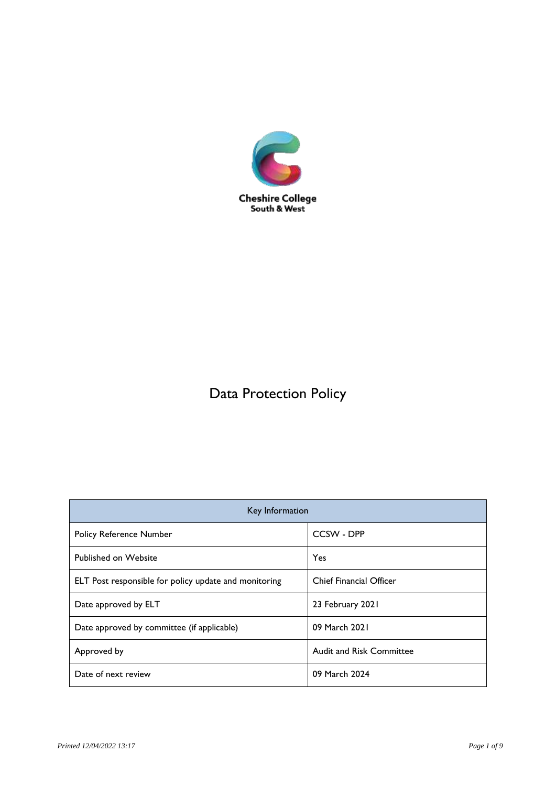

# Data Protection Policy

| Key Information                                       |                                 |
|-------------------------------------------------------|---------------------------------|
| <b>Policy Reference Number</b>                        | CCSW - DPP                      |
| <b>Published on Website</b>                           | Yes                             |
| ELT Post responsible for policy update and monitoring | <b>Chief Financial Officer</b>  |
| Date approved by ELT                                  | 23 February 2021                |
| Date approved by committee (if applicable)            | 09 March 2021                   |
| Approved by                                           | <b>Audit and Risk Committee</b> |
| Date of next review                                   | 09 March 2024                   |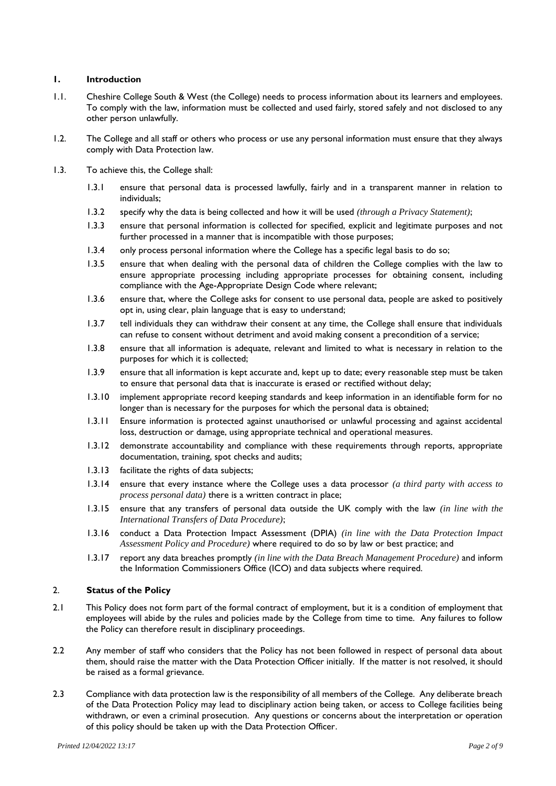## **1. Introduction**

- 1.1. Cheshire College South & West (the College) needs to process information about its learners and employees. To comply with the law, information must be collected and used fairly, stored safely and not disclosed to any other person unlawfully.
- 1.2. The College and all staff or others who process or use any personal information must ensure that they always comply with Data Protection law.
- 1.3. To achieve this, the College shall:
	- 1.3.1 ensure that personal data is processed lawfully, fairly and in a transparent manner in relation to individuals;
	- 1.3.2 specify why the data is being collected and how it will be used *(through a Privacy Statement)*;
	- 1.3.3 ensure that personal information is collected for specified, explicit and legitimate purposes and not further processed in a manner that is incompatible with those purposes;
	- 1.3.4 only process personal information where the College has a specific legal basis to do so;
	- 1.3.5 ensure that when dealing with the personal data of children the College complies with the law to ensure appropriate processing including appropriate processes for obtaining consent, including compliance with the Age-Appropriate Design Code where relevant;
	- 1.3.6 ensure that, where the College asks for consent to use personal data, people are asked to positively opt in, using clear, plain language that is easy to understand;
	- 1.3.7 tell individuals they can withdraw their consent at any time, the College shall ensure that individuals can refuse to consent without detriment and avoid making consent a precondition of a service;
	- 1.3.8 ensure that all information is adequate, relevant and limited to what is necessary in relation to the purposes for which it is collected;
	- 1.3.9 ensure that all information is kept accurate and, kept up to date; every reasonable step must be taken to ensure that personal data that is inaccurate is erased or rectified without delay;
	- 1.3.10 implement appropriate record keeping standards and keep information in an identifiable form for no longer than is necessary for the purposes for which the personal data is obtained;
	- 1.3.11 Ensure information is protected against unauthorised or unlawful processing and against accidental loss, destruction or damage, using appropriate technical and operational measures.
	- 1.3.12 demonstrate accountability and compliance with these requirements through reports, appropriate documentation, training, spot checks and audits;
	- 1.3.13 facilitate the rights of data subjects;
	- 1.3.14 ensure that every instance where the College uses a data processor *(a third party with access to process personal data*) there is a written contract in place;
	- 1.3.15 ensure that any transfers of personal data outside the UK comply with the law *(in line with the International Transfers of Data Procedure)*;
	- 1.3.16 conduct a Data Protection Impact Assessment (DPIA) *(in line with the Data Protection Impact Assessment Policy and Procedure)* where required to do so by law or best practice; and
	- 1.3.17 report any data breaches promptly *(in line with the Data Breach Management Procedure)* and inform the Information Commissioners Office (ICO) and data subjects where required.

## 2. **Status of the Policy**

- 2.1 This Policy does not form part of the formal contract of employment, but it is a condition of employment that employees will abide by the rules and policies made by the College from time to time. Any failures to follow the Policy can therefore result in disciplinary proceedings.
- 2.2 Any member of staff who considers that the Policy has not been followed in respect of personal data about them, should raise the matter with the Data Protection Officer initially. If the matter is not resolved, it should be raised as a formal grievance.
- 2.3 Compliance with data protection law is the responsibility of all members of the College. Any deliberate breach of the Data Protection Policy may lead to disciplinary action being taken, or access to College facilities being withdrawn, or even a criminal prosecution. Any questions or concerns about the interpretation or operation of this policy should be taken up with the Data Protection Officer.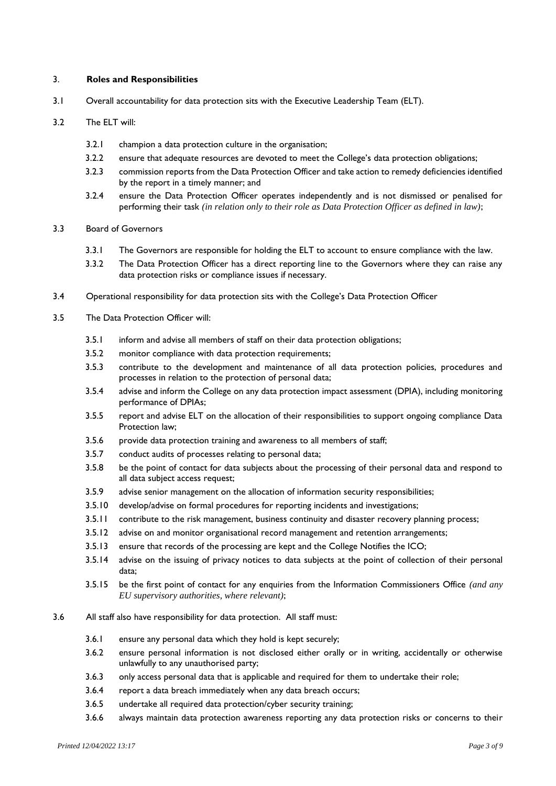## 3. **Roles and Responsibilities**

3.1 Overall accountability for data protection sits with the Executive Leadership Team (ELT).

## 3.2 The ELT will:

- 3.2.1 champion a data protection culture in the organisation;
- 3.2.2 ensure that adequate resources are devoted to meet the College's data protection obligations;
- 3.2.3 commission reports from the Data Protection Officer and take action to remedy deficiencies identified by the report in a timely manner; and
- 3.2.4 ensure the Data Protection Officer operates independently and is not dismissed or penalised for performing their task *(in relation only to their role as Data Protection Officer as defined in law)*;

## 3.3 Board of Governors

- 3.3.1 The Governors are responsible for holding the ELT to account to ensure compliance with the law.
- 3.3.2 The Data Protection Officer has a direct reporting line to the Governors where they can raise any data protection risks or compliance issues if necessary.
- 3.4 Operational responsibility for data protection sits with the College's Data Protection Officer
- 3.5 The Data Protection Officer will:
	- 3.5.1 inform and advise all members of staff on their data protection obligations;
	- 3.5.2 monitor compliance with data protection requirements;
	- 3.5.3 contribute to the development and maintenance of all data protection policies, procedures and processes in relation to the protection of personal data;
	- 3.5.4 advise and inform the College on any data protection impact assessment (DPIA), including monitoring performance of DPIAs;
	- 3.5.5 report and advise ELT on the allocation of their responsibilities to support ongoing compliance Data Protection law;
	- 3.5.6 provide data protection training and awareness to all members of staff;
	- 3.5.7 conduct audits of processes relating to personal data;
	- 3.5.8 be the point of contact for data subjects about the processing of their personal data and respond to all data subject access request;
	- 3.5.9 advise senior management on the allocation of information security responsibilities;
	- 3.5.10 develop/advise on formal procedures for reporting incidents and investigations;
	- 3.5.11 contribute to the risk management, business continuity and disaster recovery planning process;
	- 3.5.12 advise on and monitor organisational record management and retention arrangements;
	- 3.5.13 ensure that records of the processing are kept and the College Notifies the ICO;
	- 3.5.14 advise on the issuing of privacy notices to data subjects at the point of collection of their personal data;
	- 3.5.15 be the first point of contact for any enquiries from the Information Commissioners Office *(and any EU supervisory authorities, where relevant)*;

## 3.6 All staff also have responsibility for data protection. All staff must:

- 3.6.1 ensure any personal data which they hold is kept securely;
- 3.6.2 ensure personal information is not disclosed either orally or in writing, accidentally or otherwise unlawfully to any unauthorised party;
- 3.6.3 only access personal data that is applicable and required for them to undertake their role;
- 3.6.4 report a data breach immediately when any data breach occurs;
- 3.6.5 undertake all required data protection/cyber security training;
- 3.6.6 always maintain data protection awareness reporting any data protection risks or concerns to their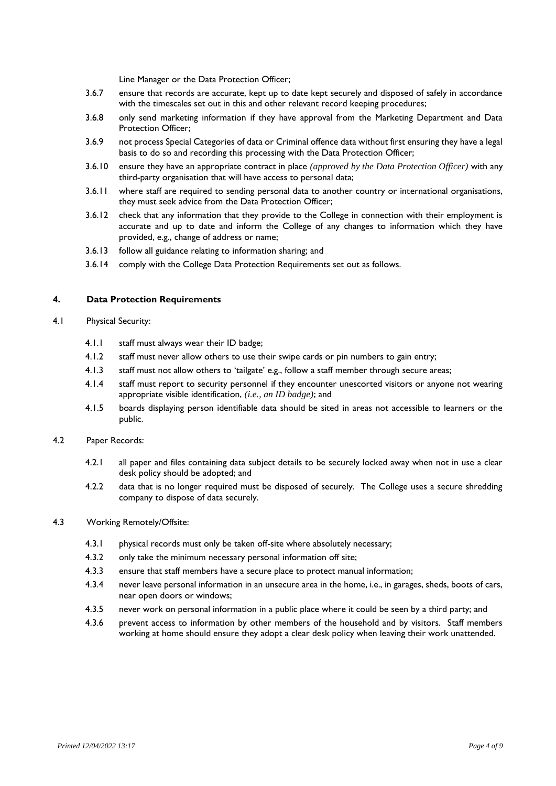Line Manager or the Data Protection Officer;

- 3.6.7 ensure that records are accurate, kept up to date kept securely and disposed of safely in accordance with the timescales set out in this and other relevant record keeping procedures;
- 3.6.8 only send marketing information if they have approval from the Marketing Department and Data Protection Officer;
- 3.6.9 not process Special Categories of data or Criminal offence data without first ensuring they have a legal basis to do so and recording this processing with the Data Protection Officer;
- 3.6.10 ensure they have an appropriate contract in place *(approved by the Data Protection Officer)* with any third-party organisation that will have access to personal data;
- 3.6.11 where staff are required to sending personal data to another country or international organisations, they must seek advice from the Data Protection Officer;
- 3.6.12 check that any information that they provide to the College in connection with their employment is accurate and up to date and inform the College of any changes to information which they have provided, e.g., change of address or name;
- 3.6.13 follow all guidance relating to information sharing; and
- 3.6.14 comply with the College Data Protection Requirements set out as follows.

#### **4. Data Protection Requirements**

- 4.1 Physical Security:
	- 4.1.1 staff must always wear their ID badge;
	- 4.1.2 staff must never allow others to use their swipe cards or pin numbers to gain entry;
	- 4.1.3 staff must not allow others to 'tailgate' e.g., follow a staff member through secure areas;
	- 4.1.4 staff must report to security personnel if they encounter unescorted visitors or anyone not wearing appropriate visible identification, *(i.e., an ID badge)*; and
	- 4.1.5 boards displaying person identifiable data should be sited in areas not accessible to learners or the public.

#### 4.2 Paper Records:

- 4.2.1 all paper and files containing data subject details to be securely locked away when not in use a clear desk policy should be adopted; and
- 4.2.2 data that is no longer required must be disposed of securely. The College uses a secure shredding company to dispose of data securely.

#### 4.3 Working Remotely/Offsite:

- 4.3.1 physical records must only be taken off-site where absolutely necessary;
- 4.3.2 only take the minimum necessary personal information off site;
- 4.3.3 ensure that staff members have a secure place to protect manual information;
- 4.3.4 never leave personal information in an unsecure area in the home, i.e., in garages, sheds, boots of cars, near open doors or windows;
- 4.3.5 never work on personal information in a public place where it could be seen by a third party; and
- 4.3.6 prevent access to information by other members of the household and by visitors. Staff members working at home should ensure they adopt a clear desk policy when leaving their work unattended.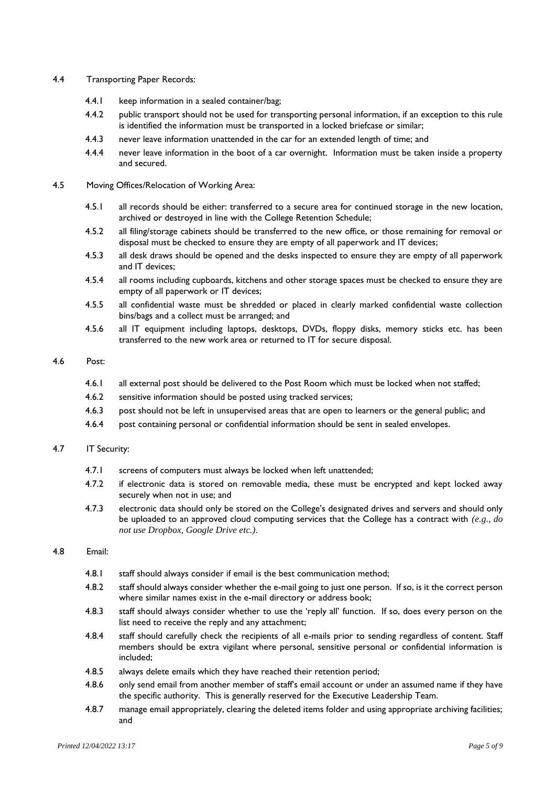#### 4.4 Transporting Paper Records:

- 4.4.1 keep information in a sealed container/bag;
- 4.4.2 public transport should not be used for transporting personal information, if an exception to this rule is identified the information must be transported in a locked briefcase or similar;
- 4.4.3 never leave information unattended in the car for an extended length of time; and
- 4.4.4 never leave information in the boot of a car overnight. Information must be taken inside a property and secured.
- 4.5 Moving Offices/Relocation of Working Area:
	- 4.5.1 all records should be either: transferred to a secure area for continued storage in the new location, archived or destroyed in line with the College Retention Schedule;
	- 4.5.2 all filing/storage cabinets should be transferred to the new office, or those remaining for removal or disposal must be checked to ensure they are empty of all paperwork and IT devices;
	- 4.5.3 all desk draws should be opened and the desks inspected to ensure they are empty of all paperwork and IT devices;
	- 4.5.4 all rooms including cupboards, kitchens and other storage spaces must be checked to ensure they are empty of all paperwork or IT devices;
	- 4.5.5 all confidential waste must be shredded or placed in clearly marked confidential waste collection bins/bags and a collect must be arranged; and
	- 4.5.6 all IT equipment including laptops, desktops, DVDs, floppy disks, memory sticks etc. has been transferred to the new work area or returned to IT for secure disposal.

#### 4.6 Post:

- 4.6.1 all external post should be delivered to the Post Room which must be locked when not staffed;
- 4.6.2 sensitive information should be posted using tracked services;
- 4.6.3 post should not be left in unsupervised areas that are open to learners or the general public; and
- 4.6.4 post containing personal or confidential information should be sent in sealed envelopes.

#### 4.7 IT Security:

- 4.7.1 screens of computers must always be locked when left unattended;
- 4.7.2 if electronic data is stored on removable media, these must be encrypted and kept locked away securely when not in use; and
- 4.7.3 electronic data should only be stored on the College's designated drives and servers and should only be uploaded to an approved cloud computing services that the College has a contract with *(e.g., do not use Dropbox, Google Drive etc.)*.

#### 4.8 Email:

- 4.8.1 staff should always consider if email is the best communication method;
- 4.8.2 staff should always consider whether the e-mail going to just one person. If so, is it the correct person where similar names exist in the e-mail directory or address book;
- 4.8.3 staff should always consider whether to use the 'reply all' function. If so, does every person on the list need to receive the reply and any attachment;
- 4.8.4 staff should carefully check the recipients of all e-mails prior to sending regardless of content. Staff members should be extra vigilant where personal, sensitive personal or confidential information is included;
- 4.8.5 always delete emails which they have reached their retention period;
- 4.8.6 only send email from another member of staff's email account or under an assumed name if they have the specific authority. This is generally reserved for the Executive Leadership Team.
- 4.8.7 manage email appropriately, clearing the deleted items folder and using appropriate archiving facilities; and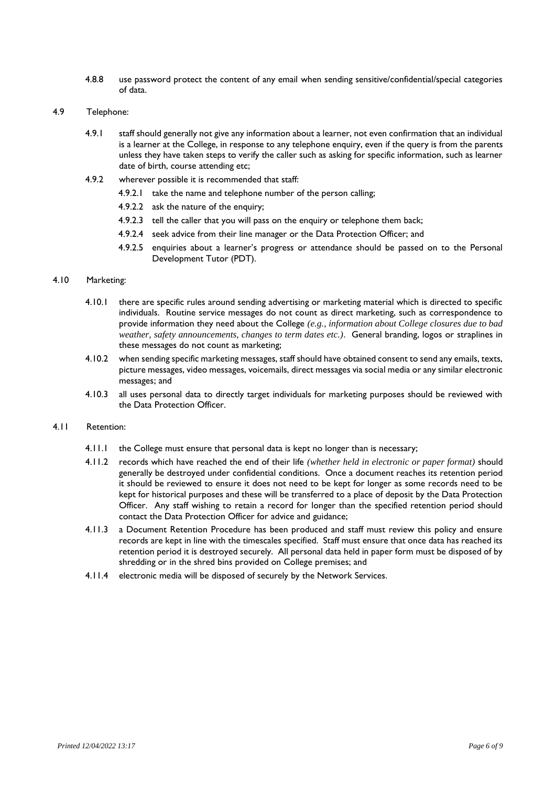- 4.8.8 use password protect the content of any email when sending sensitive/confidential/special categories of data.
- 4.9 Telephone:
	- 4.9.1 staff should generally not give any information about a learner, not even confirmation that an individual is a learner at the College, in response to any telephone enquiry, even if the query is from the parents unless they have taken steps to verify the caller such as asking for specific information, such as learner date of birth, course attending etc;
	- 4.9.2 wherever possible it is recommended that staff:
		- 4.9.2.1 take the name and telephone number of the person calling;
			- 4.9.2.2 ask the nature of the enquiry;
			- 4.9.2.3 tell the caller that you will pass on the enquiry or telephone them back;
			- 4.9.2.4 seek advice from their line manager or the Data Protection Officer; and
			- 4.9.2.5 enquiries about a learner's progress or attendance should be passed on to the Personal Development Tutor (PDT).

## 4.10 Marketing:

- 4.10.1 there are specific rules around sending advertising or marketing material which is directed to specific individuals. Routine service messages do not count as direct marketing, such as correspondence to provide information they need about the College *(e.g., information about College closures due to bad weather, safety announcements, changes to term dates etc.)*. General branding, logos or straplines in these messages do not count as marketing;
- 4.10.2 when sending specific marketing messages, staff should have obtained consent to send any emails, texts, picture messages, video messages, voicemails, direct messages via social media or any similar electronic messages; and
- 4.10.3 all uses personal data to directly target individuals for marketing purposes should be reviewed with the Data Protection Officer.

#### 4.11 Retention:

- 4.11.1 the College must ensure that personal data is kept no longer than is necessary;
- 4.11.2 records which have reached the end of their life *(whether held in electronic or paper format)* should generally be destroyed under confidential conditions. Once a document reaches its retention period it should be reviewed to ensure it does not need to be kept for longer as some records need to be kept for historical purposes and these will be transferred to a place of deposit by the Data Protection Officer. Any staff wishing to retain a record for longer than the specified retention period should contact the Data Protection Officer for advice and guidance;
- 4.11.3 a Document Retention Procedure has been produced and staff must review this policy and ensure records are kept in line with the timescales specified. Staff must ensure that once data has reached its retention period it is destroyed securely. All personal data held in paper form must be disposed of by shredding or in the shred bins provided on College premises; and
- 4.11.4 electronic media will be disposed of securely by the Network Services.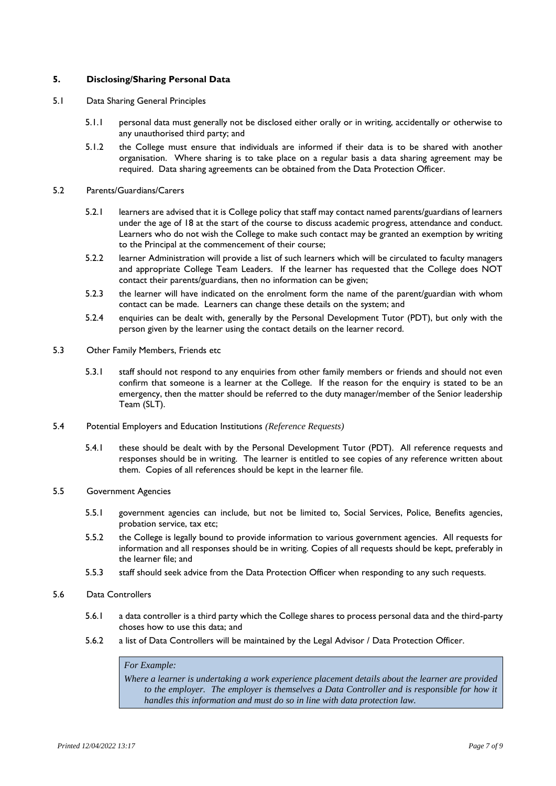## **5. Disclosing/Sharing Personal Data**

- 5.1 Data Sharing General Principles
	- 5.1.1 personal data must generally not be disclosed either orally or in writing, accidentally or otherwise to any unauthorised third party; and
	- 5.1.2 the College must ensure that individuals are informed if their data is to be shared with another organisation. Where sharing is to take place on a regular basis a data sharing agreement may be required. Data sharing agreements can be obtained from the Data Protection Officer.
- 5.2 Parents/Guardians/Carers
	- 5.2.1 learners are advised that it is College policy that staff may contact named parents/guardians of learners under the age of 18 at the start of the course to discuss academic progress, attendance and conduct. Learners who do not wish the College to make such contact may be granted an exemption by writing to the Principal at the commencement of their course;
	- 5.2.2 learner Administration will provide a list of such learners which will be circulated to faculty managers and appropriate College Team Leaders. If the learner has requested that the College does NOT contact their parents/guardians, then no information can be given;
	- 5.2.3 the learner will have indicated on the enrolment form the name of the parent/guardian with whom contact can be made. Learners can change these details on the system; and
	- 5.2.4 enquiries can be dealt with, generally by the Personal Development Tutor (PDT), but only with the person given by the learner using the contact details on the learner record.
- 5.3 Other Family Members, Friends etc
	- 5.3.1 staff should not respond to any enquiries from other family members or friends and should not even confirm that someone is a learner at the College. If the reason for the enquiry is stated to be an emergency, then the matter should be referred to the duty manager/member of the Senior leadership Team (SLT).
- 5.4 Potential Employers and Education Institutions *(Reference Requests)*
	- 5.4.1 these should be dealt with by the Personal Development Tutor (PDT). All reference requests and responses should be in writing. The learner is entitled to see copies of any reference written about them. Copies of all references should be kept in the learner file.
- 5.5 Government Agencies
	- 5.5.1 government agencies can include, but not be limited to, Social Services, Police, Benefits agencies, probation service, tax etc;
	- 5.5.2 the College is legally bound to provide information to various government agencies. All requests for information and all responses should be in writing. Copies of all requests should be kept, preferably in the learner file; and
	- 5.5.3 staff should seek advice from the Data Protection Officer when responding to any such requests.
- 5.6 Data Controllers
	- 5.6.1 a data controller is a third party which the College shares to process personal data and the third-party choses how to use this data; and
	- 5.6.2 a list of Data Controllers will be maintained by the Legal Advisor / Data Protection Officer.

## *For Example:*

*Where a learner is undertaking a work experience placement details about the learner are provided*  to the employer. The employer is themselves a Data Controller and is responsible for how it *handles this information and must do so in line with data protection law.*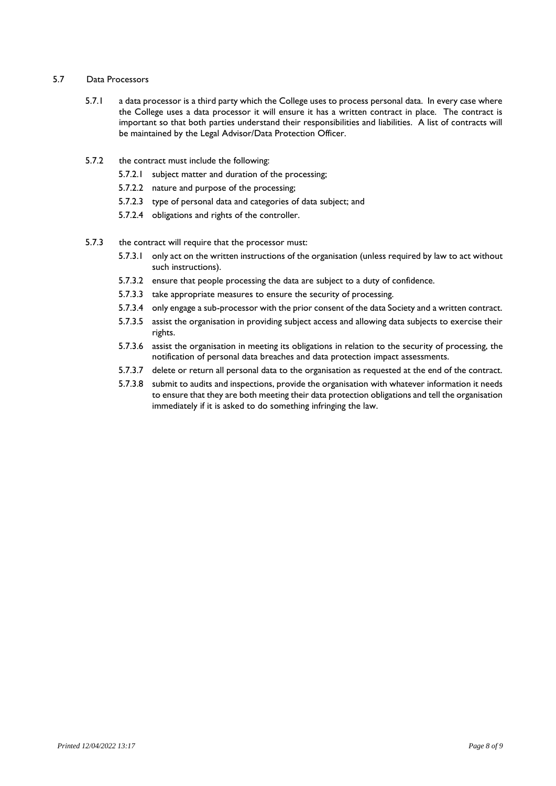## 5.7 Data Processors

- 5.7.1 a data processor is a third party which the College uses to process personal data. In every case where the College uses a data processor it will ensure it has a written contract in place. The contract is important so that both parties understand their responsibilities and liabilities. A list of contracts will be maintained by the Legal Advisor/Data Protection Officer.
- 5.7.2 the contract must include the following:
	- 5.7.2.1 subject matter and duration of the processing;
	- 5.7.2.2 nature and purpose of the processing;
	- 5.7.2.3 type of personal data and categories of data subject; and
	- 5.7.2.4 obligations and rights of the controller.
- 5.7.3 the contract will require that the processor must:
	- 5.7.3.1 only act on the written instructions of the organisation (unless required by law to act without such instructions).
	- 5.7.3.2 ensure that people processing the data are subject to a duty of confidence.
	- 5.7.3.3 take appropriate measures to ensure the security of processing.
	- 5.7.3.4 only engage a sub-processor with the prior consent of the data Society and a written contract.
	- 5.7.3.5 assist the organisation in providing subject access and allowing data subjects to exercise their rights.
	- 5.7.3.6 assist the organisation in meeting its obligations in relation to the security of processing, the notification of personal data breaches and data protection impact assessments.
	- 5.7.3.7 delete or return all personal data to the organisation as requested at the end of the contract.
	- 5.7.3.8 submit to audits and inspections, provide the organisation with whatever information it needs to ensure that they are both meeting their data protection obligations and tell the organisation immediately if it is asked to do something infringing the law.